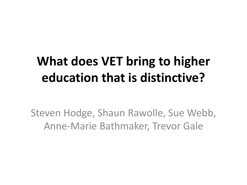### **What does VET bring to higher education that is distinctive?**

Steven Hodge, Shaun Rawolle, Sue Webb, Anne-Marie Bathmaker, Trevor Gale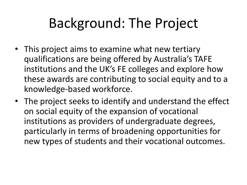## Background: The Project

- This project aims to examine what new tertiary qualifications are being offered by Australia's TAFE institutions and the UK's FE colleges and explore how these awards are contributing to social equity and to a knowledge-based workforce.
- The project seeks to identify and understand the effect on social equity of the expansion of vocational institutions as providers of undergraduate degrees, particularly in terms of broadening opportunities for new types of students and their vocational outcomes.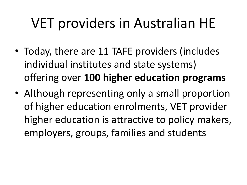## VET providers in Australian HE

- Today, there are 11 TAFE providers (includes individual institutes and state systems) offering over **100 higher education programs**
- Although representing only a small proportion of higher education enrolments, VET provider higher education is attractive to policy makers, employers, groups, families and students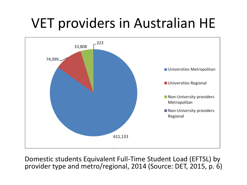## VET providers in Australian HE



Domestic students Equivalent Full-Time Student Load (EFTSL) by provider type and metro/regional, 2014 (Source: DET, 2015, p. 6)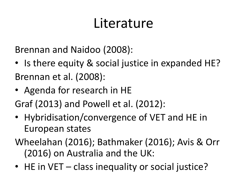### Literature

Brennan and Naidoo (2008):

- Is there equity & social justice in expanded HE? Brennan et al. (2008):
- Agenda for research in HE

Graf (2013) and Powell et al. (2012):

- Hybridisation/convergence of VET and HE in European states
- Wheelahan (2016); Bathmaker (2016); Avis & Orr (2016) on Australia and the UK:
- HE in VET class inequality or social justice?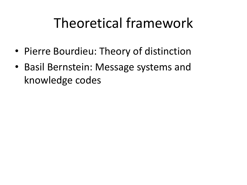### Theoretical framework

- Pierre Bourdieu: Theory of distinction
- Basil Bernstein: Message systems and knowledge codes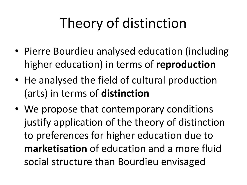# Theory of distinction

- Pierre Bourdieu analysed education (including higher education) in terms of **reproduction**
- He analysed the field of cultural production (arts) in terms of **distinction**
- We propose that contemporary conditions justify application of the theory of distinction to preferences for higher education due to **marketisation** of education and a more fluid social structure than Bourdieu envisaged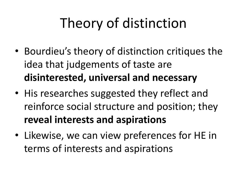# Theory of distinction

- Bourdieu's theory of distinction critiques the idea that judgements of taste are **disinterested, universal and necessary**
- His researches suggested they reflect and reinforce social structure and position; they **reveal interests and aspirations**
- Likewise, we can view preferences for HE in terms of interests and aspirations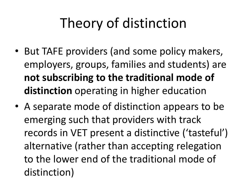# Theory of distinction

- But TAFE providers (and some policy makers, employers, groups, families and students) are **not subscribing to the traditional mode of distinction** operating in higher education
- A separate mode of distinction appears to be emerging such that providers with track records in VET present a distinctive ('tasteful') alternative (rather than accepting relegation to the lower end of the traditional mode of distinction)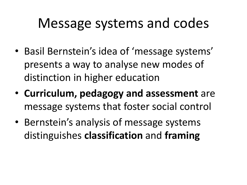### Message systems and codes

- Basil Bernstein's idea of 'message systems' presents a way to analyse new modes of distinction in higher education
- **Curriculum, pedagogy and assessment** are message systems that foster social control
- Bernstein's analysis of message systems distinguishes **classification** and **framing**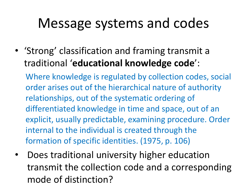### Message systems and codes

• 'Strong' classification and framing transmit a traditional '**educational knowledge code**':

Where knowledge is regulated by collection codes, social order arises out of the hierarchical nature of authority relationships, out of the systematic ordering of differentiated knowledge in time and space, out of an explicit, usually predictable, examining procedure. Order internal to the individual is created through the formation of specific identities. (1975, p. 106)

• Does traditional university higher education transmit the collection code and a corresponding mode of distinction?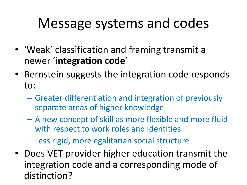### Message systems and codes

- 'Weak' classification and framing transmit a newer '**integration code**'
- Bernstein suggests the integration code responds to:
	- Greater differentiation and integration of previously separate areas of higher knowledge
	- A new concept of skill as more flexible and more fluid with respect to work roles and identities

– Less rigid, more egalitarian social structure

• Does VET provider higher education transmit the integration code and a corresponding mode of distinction?